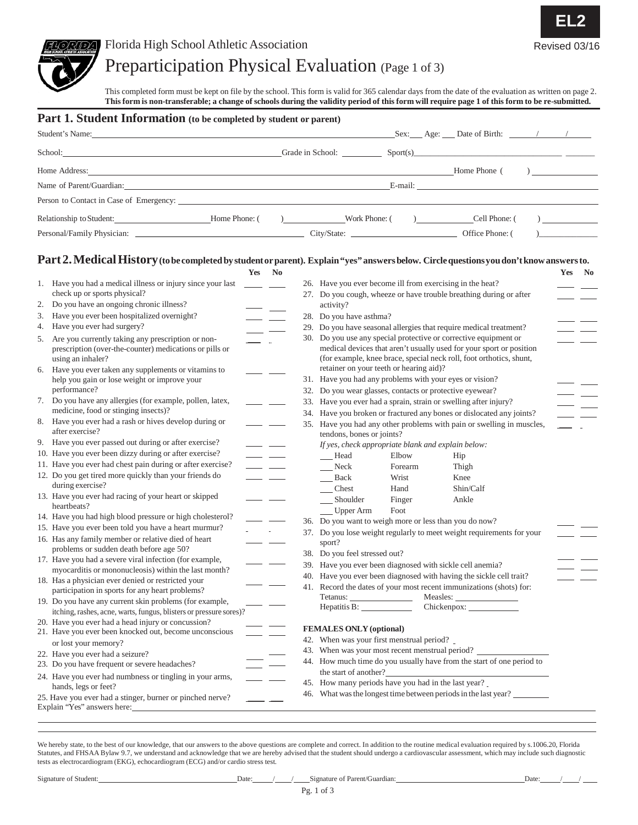

### Preparticipation Physical Evaluation (Page <sup>1</sup> of 3)

This completed form must be kept on file by the school. This form is valid for 365 calendar days from the date of the evaluation as written on page 2. This form is non-transferable; a change of schools during the validity period of this form will require page 1 of this form to be re-submitted.

|                                                                                                                                                                                                                                                                                    | <b>Part 1. Student Information</b> (to be completed by student or parent)                                                                |                           |                                                                                                    |                                                           |                |  |                                                                                                                                            |  |                          |
|------------------------------------------------------------------------------------------------------------------------------------------------------------------------------------------------------------------------------------------------------------------------------------|------------------------------------------------------------------------------------------------------------------------------------------|---------------------------|----------------------------------------------------------------------------------------------------|-----------------------------------------------------------|----------------|--|--------------------------------------------------------------------------------------------------------------------------------------------|--|--------------------------|
|                                                                                                                                                                                                                                                                                    |                                                                                                                                          |                           |                                                                                                    |                                                           |                |  |                                                                                                                                            |  |                          |
| $G = G$ and $G = G$ and $G = G$ and $G = G$ and $G = G$ and $G = G$ and $G = G$ and $G = G$ and $G = G$ and $G = G$ and $G = G$ and $G = G$ and $G = G$ and $G = G$ and $G = G$ and $G = G$ and $G = G$ and $G = G$ and $G = G$ and $G = G$ and $G = G$ and $G = G$ and<br>School: |                                                                                                                                          |                           |                                                                                                    |                                                           |                |  |                                                                                                                                            |  |                          |
|                                                                                                                                                                                                                                                                                    |                                                                                                                                          |                           |                                                                                                    |                                                           |                |  |                                                                                                                                            |  | $\frac{1}{1}$            |
|                                                                                                                                                                                                                                                                                    | Name of Parent/Guardian: E-mail: E-mail: E-mail:                                                                                         |                           |                                                                                                    |                                                           |                |  |                                                                                                                                            |  |                          |
|                                                                                                                                                                                                                                                                                    | Person to Contact in Case of Emergency:                                                                                                  |                           |                                                                                                    |                                                           |                |  |                                                                                                                                            |  |                          |
|                                                                                                                                                                                                                                                                                    |                                                                                                                                          |                           |                                                                                                    |                                                           |                |  | Cell Phone: (                                                                                                                              |  | $\overline{\phantom{a}}$ |
|                                                                                                                                                                                                                                                                                    |                                                                                                                                          |                           |                                                                                                    |                                                           |                |  |                                                                                                                                            |  | $\overline{a}$           |
|                                                                                                                                                                                                                                                                                    |                                                                                                                                          |                           |                                                                                                    |                                                           |                |  |                                                                                                                                            |  |                          |
|                                                                                                                                                                                                                                                                                    | Part 2. Medical History (to be completed by student or parent). Explain "yes" answers below. Circle questions you don't know answers to. | Yes No                    |                                                                                                    |                                                           |                |  |                                                                                                                                            |  |                          |
|                                                                                                                                                                                                                                                                                    | 1. Have you had a medical illness or injury since your last __________                                                                   |                           |                                                                                                    | 26. Have you ever become ill from exercising in the heat? |                |  |                                                                                                                                            |  | Yes No                   |
|                                                                                                                                                                                                                                                                                    | check up or sports physical?                                                                                                             |                           |                                                                                                    |                                                           |                |  | 27. Do you cough, wheeze or have trouble breathing during or after                                                                         |  | $=$ $=$                  |
| 2.                                                                                                                                                                                                                                                                                 | Do you have an ongoing chronic illness?                                                                                                  |                           |                                                                                                    | activity?                                                 |                |  |                                                                                                                                            |  |                          |
| 3.                                                                                                                                                                                                                                                                                 | Have you ever been hospitalized overnight?                                                                                               | $\overline{\phantom{a}}$  |                                                                                                    | 28. Do you have asthma?                                   |                |  |                                                                                                                                            |  |                          |
|                                                                                                                                                                                                                                                                                    | 4. Have you ever had surgery?                                                                                                            |                           |                                                                                                    |                                                           |                |  | 29. Do you have seasonal allergies that require medical treatment?                                                                         |  |                          |
|                                                                                                                                                                                                                                                                                    | 5. Are you currently taking any prescription or non-                                                                                     |                           |                                                                                                    |                                                           |                |  | 30. Do you use any special protective or corrective equipment or                                                                           |  |                          |
|                                                                                                                                                                                                                                                                                    | prescription (over-the-counter) medications or pills or<br>using an inhaler?                                                             |                           |                                                                                                    |                                                           |                |  | medical devices that aren't usually used for your sport or position<br>(for example, knee brace, special neck roll, foot orthotics, shunt, |  |                          |
|                                                                                                                                                                                                                                                                                    | 6. Have you ever taken any supplements or vitamins to                                                                                    | $\overline{\phantom{a}}$  |                                                                                                    | retainer on your teeth or hearing aid)?                   |                |  |                                                                                                                                            |  |                          |
|                                                                                                                                                                                                                                                                                    | help you gain or lose weight or improve your<br>performance?                                                                             |                           |                                                                                                    | 31. Have you had any problems with your eyes or vision?   |                |  |                                                                                                                                            |  |                          |
|                                                                                                                                                                                                                                                                                    | 7. Do you have any allergies (for example, pollen, latex,                                                                                |                           |                                                                                                    | 32. Do you wear glasses, contacts or protective eyewear?  |                |  | 33. Have you ever had a sprain, strain or swelling after injury?                                                                           |  |                          |
|                                                                                                                                                                                                                                                                                    | medicine, food or stinging insects)?                                                                                                     |                           |                                                                                                    |                                                           |                |  | 34. Have you broken or fractured any bones or dislocated any joints?                                                                       |  |                          |
|                                                                                                                                                                                                                                                                                    | 8. Have you ever had a rash or hives develop during or                                                                                   | <u>and the second</u>     |                                                                                                    |                                                           |                |  |                                                                                                                                            |  |                          |
|                                                                                                                                                                                                                                                                                    | after exercise?                                                                                                                          |                           | 35. Have you had any other problems with pain or swelling in muscles,<br>tendons, bones or joints? |                                                           |                |  |                                                                                                                                            |  |                          |
|                                                                                                                                                                                                                                                                                    | 9. Have you ever passed out during or after exercise?                                                                                    | <u> 1989 - Andrea Sta</u> |                                                                                                    | If yes, check appropriate blank and explain below:        |                |  |                                                                                                                                            |  |                          |
|                                                                                                                                                                                                                                                                                    | 10. Have you ever been dizzy during or after exercise?                                                                                   | <u>and the state</u>      |                                                                                                    | __Head                                                    | Elbow          |  | Hip                                                                                                                                        |  |                          |
|                                                                                                                                                                                                                                                                                    | 11. Have you ever had chest pain during or after exercise?                                                                               | $\overline{\phantom{a}}$  |                                                                                                    | Neck                                                      | Forearm        |  | Thigh                                                                                                                                      |  |                          |
|                                                                                                                                                                                                                                                                                    | 12. Do you get tired more quickly than your friends do<br>during exercise?                                                               | <u>and the state</u>      |                                                                                                    | $\_\_\_\$ Back                                            | Wrist          |  | Knee                                                                                                                                       |  |                          |
|                                                                                                                                                                                                                                                                                    | 13. Have you ever had racing of your heart or skipped                                                                                    | $\sim$ $-$                |                                                                                                    | $\qquad$ Chest                                            | Hand           |  | Shin/Calf                                                                                                                                  |  |                          |
|                                                                                                                                                                                                                                                                                    | heartbeats?                                                                                                                              |                           |                                                                                                    | __ Shoulder<br>$\frac{1}{2}$ Upper Arm                    | Finger<br>Foot |  | Ankle                                                                                                                                      |  |                          |
|                                                                                                                                                                                                                                                                                    | 14. Have you had high blood pressure or high cholesterol?                                                                                |                           |                                                                                                    | 36. Do you want to weigh more or less than you do now?    |                |  |                                                                                                                                            |  |                          |
|                                                                                                                                                                                                                                                                                    | 15. Have you ever been told you have a heart murmur?                                                                                     |                           |                                                                                                    |                                                           |                |  | 37. Do you lose weight regularly to meet weight requirements for your                                                                      |  |                          |
|                                                                                                                                                                                                                                                                                    | 16. Has any family member or relative died of heart                                                                                      |                           |                                                                                                    | sport?                                                    |                |  |                                                                                                                                            |  |                          |
|                                                                                                                                                                                                                                                                                    | problems or sudden death before age 50?                                                                                                  |                           |                                                                                                    | 38. Do you feel stressed out?                             |                |  |                                                                                                                                            |  |                          |
|                                                                                                                                                                                                                                                                                    | 17. Have you had a severe viral infection (for example,<br>myocarditis or mononucleosis) within the last month?                          |                           |                                                                                                    | 39. Have you ever been diagnosed with sickle cell anemia? |                |  |                                                                                                                                            |  |                          |
|                                                                                                                                                                                                                                                                                    | 18. Has a physician ever denied or restricted your                                                                                       |                           |                                                                                                    |                                                           |                |  | 40. Have you ever been diagnosed with having the sickle cell trait?                                                                        |  |                          |
|                                                                                                                                                                                                                                                                                    | participation in sports for any heart problems?                                                                                          |                           |                                                                                                    |                                                           |                |  | 41. Record the dates of your most recent immunizations (shots) for:                                                                        |  |                          |
|                                                                                                                                                                                                                                                                                    | 19. Do you have any current skin problems (for example,                                                                                  |                           |                                                                                                    | Tetanus:                                                  |                |  |                                                                                                                                            |  |                          |
|                                                                                                                                                                                                                                                                                    | itching, rashes, acne, warts, fungus, blisters or pressure sores)?                                                                       |                           |                                                                                                    |                                                           |                |  |                                                                                                                                            |  |                          |
|                                                                                                                                                                                                                                                                                    | 20. Have you ever had a head injury or concussion?<br>21. Have you ever been knocked out, become unconscious                             |                           |                                                                                                    | <b>FEMALES ONLY (optional)</b>                            |                |  |                                                                                                                                            |  |                          |
|                                                                                                                                                                                                                                                                                    | or lost your memory?                                                                                                                     |                           |                                                                                                    | 42. When was your first menstrual period?                 |                |  |                                                                                                                                            |  |                          |
|                                                                                                                                                                                                                                                                                    | 22. Have you ever had a seizure?                                                                                                         |                           |                                                                                                    | 43. When was your most recent menstrual period?           |                |  |                                                                                                                                            |  |                          |
|                                                                                                                                                                                                                                                                                    | 23. Do you have frequent or severe headaches?                                                                                            |                           |                                                                                                    |                                                           |                |  | 44. How much time do you usually have from the start of one period to                                                                      |  |                          |
|                                                                                                                                                                                                                                                                                    | 24. Have you ever had numbness or tingling in your arms,                                                                                 |                           |                                                                                                    | the start of another?                                     |                |  |                                                                                                                                            |  |                          |
|                                                                                                                                                                                                                                                                                    | hands, legs or feet?                                                                                                                     |                           |                                                                                                    | 45. How many periods have you had in the last year?       |                |  |                                                                                                                                            |  |                          |
|                                                                                                                                                                                                                                                                                    | 25. Have you ever had a stinger, burner or pinched nerve?<br>Explain "Yes" answers here:                                                 |                           |                                                                                                    |                                                           |                |  | 46. What was the longest time between periods in the last year?                                                                            |  |                          |

We hereby state, to the best of our knowledge, that our answers to the above questions are complete and correct. In addition to the routine medical evaluation required by s. 1006.20, Florida Statutes, and FHSAA Bylaw 9.7, we understand and acknowledge that we are hereby advised that the student should undergo a cardiovascular assessment, which may include such diagnostic tests as electrocardiogram (EKG), echocardiogram (ECG) and/or cardio stress test.



Signature of Student: Date: */ / Signature of Parent/Guardian:* Date: *Date: Date: Date: Date: Date: Date: Date: Date: Date: Date: Date: Date: Date: Date: Date: Date: Date: Date: Date:*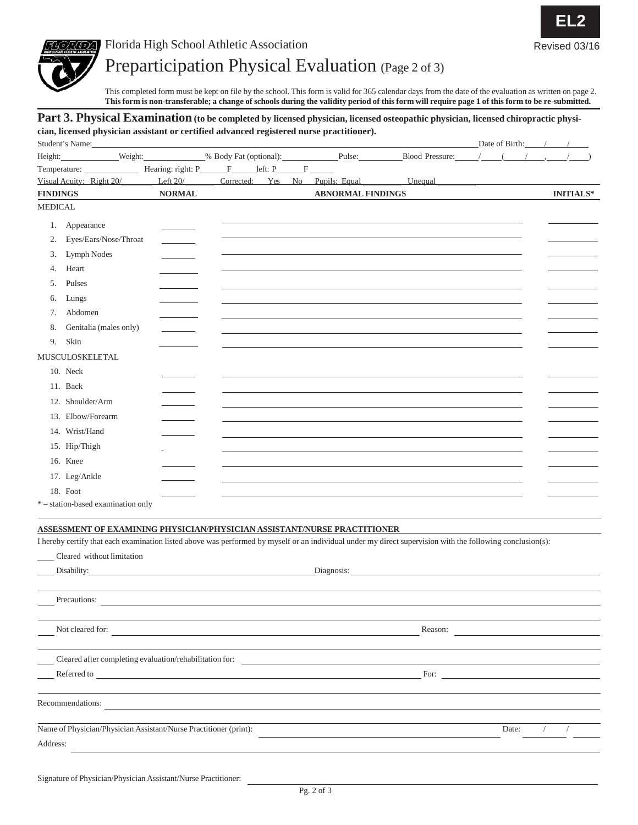



### Preparticipation Physical Evaluation (Page <sup>2</sup> of 3)

This completed form must be kept on file by the school. This form is valid for 365 calendar days from the date of the evaluation as written on page 2. This form is non-transferable; a change of schools during the validity period of this form will require page 1 of this form to be re-submitted.

### Part 3. Physical Examination (to be completed by licensed physician, licensed osteopathic physician, licensed chiropractic physi**cian, licensed physician assistant or certified advanced registered nurse practitioner).**

| Student's Name:          |                                                                                                                                                                                                                                |                    |                   |                |                          |                                                                                                                                                            |       | Date of Birth: / / |
|--------------------------|--------------------------------------------------------------------------------------------------------------------------------------------------------------------------------------------------------------------------------|--------------------|-------------------|----------------|--------------------------|------------------------------------------------------------------------------------------------------------------------------------------------------------|-------|--------------------|
| Height:                  |                                                                                                                                                                                                                                |                    |                   |                |                          |                                                                                                                                                            |       |                    |
|                          | Temperature:                                                                                                                                                                                                                   | Hearing: right: P_ | $\mathbf{F}$      | $left: P \t F$ |                          |                                                                                                                                                            |       |                    |
| Visual Acuity: Right 20/ |                                                                                                                                                                                                                                | Left 20/           | Corrected: Yes No |                | Pupils: Equal            | Unequal                                                                                                                                                    |       |                    |
| <b>FINDINGS</b>          |                                                                                                                                                                                                                                | <b>NORMAL</b>      |                   |                | <b>ABNORMAL FINDINGS</b> |                                                                                                                                                            |       | <b>INITIALS*</b>   |
| <b>MEDICAL</b>           |                                                                                                                                                                                                                                |                    |                   |                |                          |                                                                                                                                                            |       |                    |
| 1. Appearance            |                                                                                                                                                                                                                                |                    |                   |                |                          |                                                                                                                                                            |       |                    |
| 2.                       | Eyes/Ears/Nose/Throat                                                                                                                                                                                                          |                    |                   |                |                          |                                                                                                                                                            |       |                    |
| 3.                       | Lymph Nodes                                                                                                                                                                                                                    |                    |                   |                |                          |                                                                                                                                                            |       |                    |
| Heart<br>4.              |                                                                                                                                                                                                                                |                    |                   |                |                          |                                                                                                                                                            |       |                    |
| Pulses<br>5.             |                                                                                                                                                                                                                                |                    |                   |                |                          |                                                                                                                                                            |       |                    |
| Lungs<br>6.              |                                                                                                                                                                                                                                |                    |                   |                |                          |                                                                                                                                                            |       |                    |
| Abdomen<br>7.            |                                                                                                                                                                                                                                |                    |                   |                |                          |                                                                                                                                                            |       |                    |
| 8.                       | Genitalia (males only)                                                                                                                                                                                                         |                    |                   |                |                          |                                                                                                                                                            |       |                    |
| 9.<br>Skin               |                                                                                                                                                                                                                                |                    |                   |                |                          |                                                                                                                                                            |       |                    |
| MUSCULOSKELETAL          |                                                                                                                                                                                                                                |                    |                   |                |                          |                                                                                                                                                            |       |                    |
| 10. Neck                 |                                                                                                                                                                                                                                |                    |                   |                |                          |                                                                                                                                                            |       |                    |
| 11. Back                 |                                                                                                                                                                                                                                |                    |                   |                |                          |                                                                                                                                                            |       |                    |
| 12. Shoulder/Arm         |                                                                                                                                                                                                                                |                    |                   |                |                          |                                                                                                                                                            |       |                    |
| 13. Elbow/Forearm        |                                                                                                                                                                                                                                |                    |                   |                |                          |                                                                                                                                                            |       |                    |
| 14. Wrist/Hand           |                                                                                                                                                                                                                                |                    |                   |                |                          |                                                                                                                                                            |       |                    |
| 15. Hip/Thigh            |                                                                                                                                                                                                                                |                    |                   |                |                          |                                                                                                                                                            |       |                    |
| 16. Knee                 |                                                                                                                                                                                                                                |                    |                   |                |                          |                                                                                                                                                            |       |                    |
|                          |                                                                                                                                                                                                                                |                    |                   |                |                          |                                                                                                                                                            |       |                    |
| 17. Leg/Ankle            |                                                                                                                                                                                                                                |                    |                   |                |                          |                                                                                                                                                            |       |                    |
| 18. Foot                 | *-station-based examination only                                                                                                                                                                                               |                    |                   |                |                          |                                                                                                                                                            |       |                    |
|                          |                                                                                                                                                                                                                                |                    |                   |                |                          |                                                                                                                                                            |       |                    |
|                          | ASSESSMENT OF EXAMINING PHYSICIAN/PHYSICIAN ASSISTANT/NURSE PRACTITIONER                                                                                                                                                       |                    |                   |                |                          |                                                                                                                                                            |       |                    |
|                          |                                                                                                                                                                                                                                |                    |                   |                |                          | I hereby certify that each examination listed above was performed by myself or an individual under my direct supervision with the following conclusion(s): |       |                    |
|                          | Cleared without limitation                                                                                                                                                                                                     |                    |                   |                |                          |                                                                                                                                                            |       |                    |
|                          | Disability: 2000 Contract Contract Contract Contract Contract Contract Contract Contract Contract Contract Contract Contract Contract Contract Contract Contract Contract Contract Contract Contract Contract Contract Contrac |                    |                   |                |                          | Diagnosis:                                                                                                                                                 |       |                    |
|                          |                                                                                                                                                                                                                                |                    |                   |                |                          |                                                                                                                                                            |       |                    |
| Precautions:             |                                                                                                                                                                                                                                |                    |                   |                |                          |                                                                                                                                                            |       |                    |
|                          |                                                                                                                                                                                                                                |                    |                   |                |                          |                                                                                                                                                            |       |                    |
| Not cleared for:         |                                                                                                                                                                                                                                |                    |                   |                |                          | Reason:                                                                                                                                                    |       |                    |
|                          |                                                                                                                                                                                                                                |                    |                   |                |                          |                                                                                                                                                            |       |                    |
|                          | Cleared after completing evaluation/rehabilitation for: ________________________                                                                                                                                               |                    |                   |                |                          |                                                                                                                                                            |       |                    |
|                          | Referred to the contract of the contract of the contract of the contract of the contract of the contract of the contract of the contract of the contract of the contract of the contract of the contract of the contract of th |                    |                   |                |                          | For:                                                                                                                                                       |       |                    |
|                          |                                                                                                                                                                                                                                |                    |                   |                |                          |                                                                                                                                                            |       |                    |
| Recommendations:         |                                                                                                                                                                                                                                |                    |                   |                |                          |                                                                                                                                                            |       |                    |
|                          |                                                                                                                                                                                                                                |                    |                   |                |                          |                                                                                                                                                            |       |                    |
|                          | Name of Physician/Physician Assistant/Nurse Practitioner (print):                                                                                                                                                              |                    |                   |                |                          |                                                                                                                                                            | Date: |                    |
| Address:                 |                                                                                                                                                                                                                                |                    |                   |                |                          |                                                                                                                                                            |       |                    |
|                          |                                                                                                                                                                                                                                |                    |                   |                |                          |                                                                                                                                                            |       |                    |
|                          |                                                                                                                                                                                                                                |                    |                   |                |                          |                                                                                                                                                            |       |                    |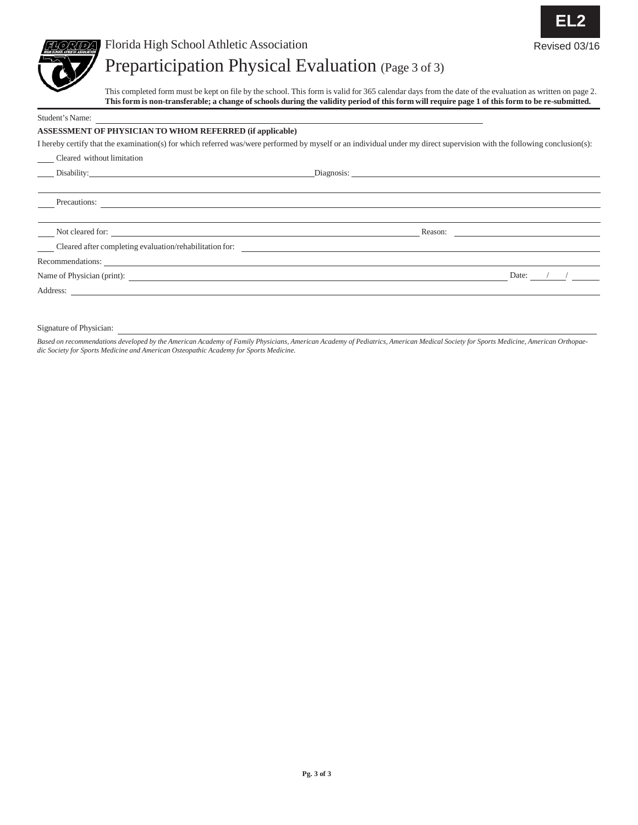

### Florida High School Athletic Association Revised 03/16

### Preparticipation Physical Evaluation (Page <sup>3</sup> of 3)

This completed form must be kept on file by the school. This form is valid for 365 calendar days from the date of the evaluation as written on page 2. This form is non-transferable; a change of schools during the validity period of this form will require page 1 of this form to be re-submitted.

**EL2**

Student's Name:

### **ASSESSMENT OF PHYSICIAN TO WHOM REFERRED (if applicable)**

I hereby certify that the examination(s) for which referred was/were performed by myself or an individual under my direct supervision with the following conclusion(s):

| Cleared without limitation                                                                                                            |       |
|---------------------------------------------------------------------------------------------------------------------------------------|-------|
| Disability:                                                                                                                           |       |
|                                                                                                                                       |       |
| Precautions:<br><u> 1980 - Jan Samuel Barbara, margaret e a seu a construir a construir a construir a construir a construir a con</u> |       |
| Not cleared for:                                                                                                                      |       |
| Cleared after completing evaluation/rehabilitation for:                                                                               |       |
| Recommendations:                                                                                                                      |       |
|                                                                                                                                       | Date: |
| Address:                                                                                                                              |       |

Signature of Physician:

Based on recommendations developed by the American Academy of Family Physicians, American Academy of Pediatrics, American Medical Society for Sports Medicine, American Orthopae*dic Society for Sports Medicine and American Osteopathic Academy for Sports Medicine.*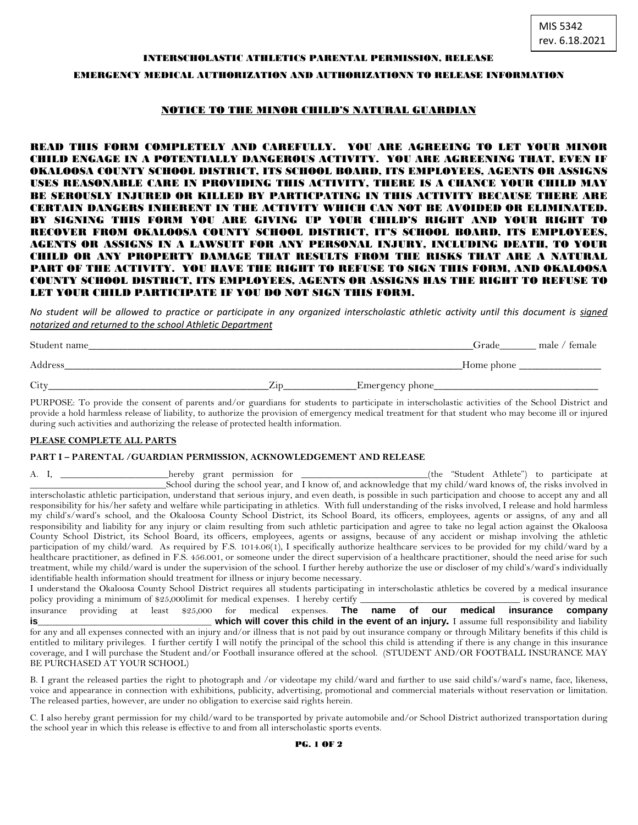#### INTERSCHOLASTIC ATHLETICS PARENTAL PERMISSION, RELEASE

### EMERGENCY MEDICAL AUTHORIZATION AND AUTHORIZATIONN TO RELEASE INFORMATION

### NOTICE TO THE MINOR CHILD'S NATURAL GUARDIAN

READ THIS FORM COMPLETELY AND CAREFULLY. YOU ARE AGREEING TO LET YOUR MINOR CHILD ENGAGE IN A POTENTIALLY DANGEROUS ACTIVITY. YOU ARE AGREENING THAT, EVEN IF OKALOOSA COUNTY SCHOOL DISTRICT, ITS SCHOOL BOARD, ITS EMPLOYEES, AGENTS OR ASSIGNS USES REASONABLE CARE IN PROVIDING THIS ACTIVITY, THERE IS A CHANCE YOUR CHILD MAY BE SEROUSLY INJURED OR KILLED BY PARTICPATING IN THIS ACTIVITY BECAUSE THERE ARE CERTAIN DANGERS INHERENT IN THE ACTIVITY WHICH CAN NOT BE AVOIDED OR ELIMINATED. BY SIGNING THIS FORM YOU ARE GIVING UP YOUR CHILD'S RIGHT AND YOUR RIGHT TO RECOVER FROM OKALOOSA COUNTY SCHOOL DISTRICT, IT'S SCHOOL BOARD, ITS EMPLOYEES, AGENTS OR ASSIGNS IN A LAWSUIT FOR ANY PERSONAL INJURY, INCLUDING DEATH, TO YOUR CHILD OR ANY PROPERTY DAMAGE THAT RESULTS FROM THE RISKS THAT ARE A NATURAL PART OF THE ACTIVITY. YOU HAVE THE RIGHT TO REFUSE TO SIGN THIS FORM, AND OKALOOSA COUNTY SCHOOL DISTRICT, ITS EMPLOYEES, AGENTS OR ASSIGNS HAS THE RIGHT TO REFUSE TO LET YOUR CHILD PARTICIPATE IF YOU DO NOT SIGN THIS FORM.

*No student will be allowed to practice or participate in any organized interscholastic athletic activity until this document is signed notarized and returned to the school Athletic Department*

| Student name |                  |                 | Grade      | male /<br>temale |
|--------------|------------------|-----------------|------------|------------------|
| Address      |                  |                 | Home phone |                  |
| City         | $\mathcal{L}$ id | Emergency phone |            |                  |

PURPOSE: To provide the consent of parents and/or guardians for students to participate in interscholastic activities of the School District and provide a hold harmless release of liability, to authorize the provision of emergency medical treatment for that student who may become ill or injured during such activities and authorizing the release of protected health information.

#### **PLEASE COMPLETE ALL PARTS**

#### **PART I – PARENTAL /GUARDIAN PERMISSION, ACKNOWLEDGEMENT AND RELEASE**

| A. I. |                                                                                                                                                            |  |                       |
|-------|------------------------------------------------------------------------------------------------------------------------------------------------------------|--|-----------------------|
|       | School during the school year, and I know of, and acknowledge that my child/ward knows of, the risks involved in                                           |  |                       |
|       | interscholastic athletic participation, understand that serious injury, and even death, is possible in such participation and choose to accept any and all |  |                       |
|       | responsibility for his/her safety and welfare while participating in athletics. With full understanding of the risks involved, I release and hold harmless |  |                       |
|       | my child's/ward's school, and the Okaloosa County School District, its School Board, its officers, employees, agents or assigns, of any and all            |  |                       |
|       | responsibility and liability for any injury or claim resulting from such athletic participation and agree to take no legal action against the Okaloosa     |  |                       |
|       | County School District, its School Board, its officers, employees, agents or assigns, because of any accident or mishap involving the athletic             |  |                       |
|       | participation of my child/ward. As required by F.S. 1014.06(1), I specifically authorize healthcare services to be provided for my child/ward by a         |  |                       |
|       | healthcare practitioner, as defined in F.S. 456.001, or someone under the direct supervision of a healthcare practitioner, should the need arise for such  |  |                       |
|       | treatment, while my child/ward is under the supervision of the school. I further hereby authorize the use or discloser of my child's/ward's individually   |  |                       |
|       | identifiable health information should treatment for illness or injury become necessary.                                                                   |  |                       |
|       | I understand the Okaloosa County School District requires all students participating in interscholastic athletics be covered by a medical insurance        |  |                       |
|       | policy providing a minimum of \$25,000 limit for medical expenses. I hereby certify                                                                        |  | is covered by medical |

insurance providing at least \$25,000 for medical expenses. **The name of our medical insurance company is is included in the event of an injury.** I assume full responsibility and liability **in the event of an injury.** I assume full responsibility and liability for any and all expenses connected with an injury and/or illness that is not paid by out insurance company or through Military benefits if this child is entitled to military privileges. I further certify I will notify the principal of the school this child is attending if there is any change in this insurance coverage, and I will purchase the Student and/or Football insurance offered at the school. (STUDENT AND/OR FOOTBALL INSURANCE MAY BE PURCHASED AT YOUR SCHOOL)

B. I grant the released parties the right to photograph and /or videotape my child/ward and further to use said child's/ward's name, face, likeness, voice and appearance in connection with exhibitions, publicity, advertising, promotional and commercial materials without reservation or limitation. The released parties, however, are under no obligation to exercise said rights herein.

C. I also hereby grant permission for my child/ward to be transported by private automobile and/or School District authorized transportation during the school year in which this release is effective to and from all interscholastic sports events.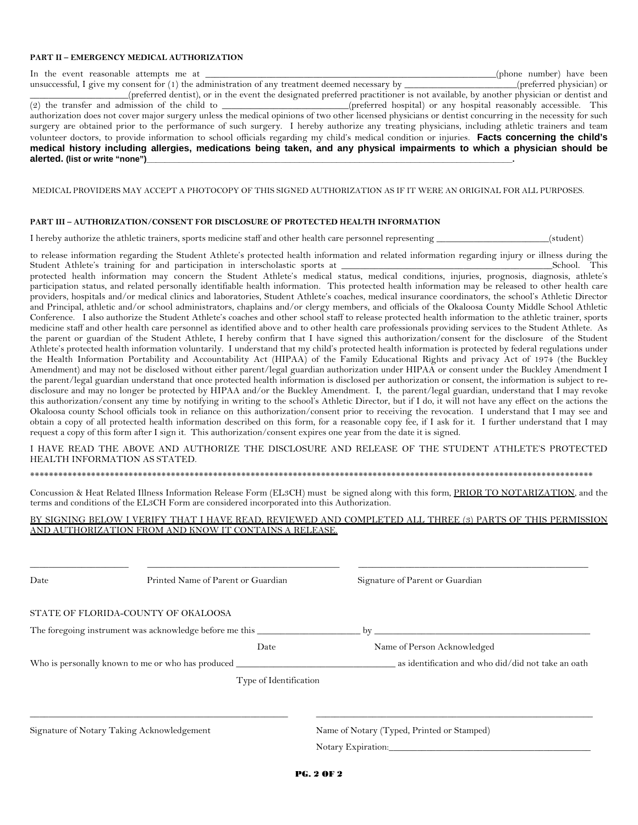#### **PART II – EMERGENCY MEDICAL AUTHORIZATION**

In the event reasonable attempts me at \_\_\_\_\_\_\_\_\_\_\_\_\_\_\_\_\_\_\_\_\_\_\_\_\_\_\_\_\_\_\_\_\_\_\_\_\_\_\_\_\_\_\_\_\_\_\_\_\_\_\_\_\_\_\_\_\_\_\_\_\_\_(phone number) have been

unsuccessful, I give my consent for (1) the administration of any treatment deemed necessary by \_\_\_\_\_\_\_\_\_\_\_\_\_\_\_\_\_\_\_\_\_\_\_\_(preferred physician) or \_\_\_\_\_\_\_\_\_\_\_\_\_\_\_\_\_\_\_\_\_(preferred dentist), or in the event the designated preferred practitioner is not available, by another physician or dentist and (preferred hospital) or any hospital reasonably accessible. This authorization does not cover major surgery unless the medical opinions of two other licensed physicians or dentist concurring in the necessity for such surgery are obtained prior to the performance of such surgery. I hereby authorize any treating physicians, including athletic trainers and team volunteer doctors, to provide information to school officials regarding my child's medical condition or injuries. **Facts concerning the child's medical history including allergies, medications being taken, and any physical impairments to which a physician should be alerted. (list or write "none")\_\_\_\_\_\_\_\_\_\_\_\_\_\_\_\_\_\_\_\_\_\_\_\_\_\_\_\_\_\_\_\_\_\_\_\_\_\_\_\_\_\_\_\_\_\_\_\_\_\_\_\_\_\_\_\_\_\_\_\_\_\_\_\_\_\_\_\_\_\_\_\_\_\_\_\_\_\_\_.**

MEDICAL PROVIDERS MAY ACCEPT A PHOTOCOPY OF THIS SIGNED AUTHORIZATION AS IF IT WERE AN ORIGINAL FOR ALL PURPOSES.

### **PART III – AUTHORIZATION/CONSENT FOR DISCLOSURE OF PROTECTED HEALTH INFORMATION**

I hereby authorize the athletic trainers, sports medicine staff and other health care personnel representing (student)

to release information regarding the Student Athlete's protected health information and related information regarding injury or illness during the Student Athlete's training for and participation in interscholastic sports at \_\_\_\_\_\_\_\_\_\_\_\_\_\_\_\_\_\_\_\_\_\_\_\_\_\_\_\_\_\_\_\_\_\_\_\_\_\_\_\_\_\_\_\_\_School. This

protected health information may concern the Student Athlete's medical status, medical conditions, injuries, prognosis, diagnosis, athlete's participation status, and related personally identifiable health information. This protected health information may be released to other health care providers, hospitals and/or medical clinics and laboratories, Student Athlete's coaches, medical insurance coordinators, the school's Athletic Director and Principal, athletic and/or school administrators, chaplains and/or clergy members, and officials of the Okaloosa County Middle School Athletic Conference. I also authorize the Student Athlete's coaches and other school staff to release protected health information to the athletic trainer, sports medicine staff and other health care personnel as identified above and to other health care professionals providing services to the Student Athlete. As the parent or guardian of the Student Athlete, I hereby confirm that I have signed this authorization/consent for the disclosure of the Student Athlete's protected health information voluntarily. I understand that my child's protected health information is protected by federal regulations under the Health Information Portability and Accountability Act (HIPAA) of the Family Educational Rights and privacy Act of 1974 (the Buckley Amendment) and may not be disclosed without either parent/legal guardian authorization under HIPAA or consent under the Buckley Amendment I the parent/legal guardian understand that once protected health information is disclosed per authorization or consent, the information is subject to redisclosure and may no longer be protected by HIPAA and/or the Buckley Amendment. I, the parent/legal guardian, understand that I may revoke this authorization/consent any time by notifying in writing to the school's Athletic Director, but if I do, it will not have any effect on the actions the Okaloosa county School officials took in reliance on this authorization/consent prior to receiving the revocation. I understand that I may see and obtain a copy of all protected health information described on this form, for a reasonable copy fee, if I ask for it. I further understand that I may request a copy of this form after I sign it. This authorization/consent expires one year from the date it is signed.

I HAVE READ THE ABOVE AND AUTHORIZE THE DISCLOSURE AND RELEASE OF THE STUDENT ATHLETE'S PROTECTED HEALTH INFORMATION AS STATED.

\*\*\*\*\*\*\*\*\*\*\*\*\*\*\*\*\*\*\*\*\*\*\*\*\*\*\*\*\*\*\*\*\*\*\*\*\*\*\*\*\*\*\*\*\*\*\*\*\*\*\*\*\*\*\*\*\*\*\*\*\*\*\*\*\*\*\*\*\*\*\*\*\*\*\*\*\*\*\*\*\*\*\*\*\*\*\*\*\*\*\*\*\*\*\*\*\*\*\*\*\*\*\*\*\*\*\*\*\*\*\*\*\*\*\*\*\*\*\*\*

Concussion & Heat Related Illness Information Release Form (EL3CH) must be signed along with this form, PRIOR TO NOTARIZATION, and the terms and conditions of the EL3CH Form are considered incorporated into this Authorization.

#### BY SIGNING BELOW I VERIFY THAT I HAVE READ, REVIEWED AND COMPLETED ALL THREE (3) PARTS OF THIS PERMISSION AND AUTHORIZATION FROM AND KNOW IT CONTAINS A RELEASE.

\_\_\_\_\_\_\_\_\_\_\_\_\_\_\_\_\_\_\_\_\_ \_\_\_\_\_\_\_\_\_\_\_\_\_\_\_\_\_\_\_\_\_\_\_\_\_\_\_\_\_\_\_\_\_\_\_\_\_\_\_\_\_ \_\_\_\_\_\_\_\_\_\_\_\_\_\_\_\_\_\_\_\_\_\_\_\_\_\_\_\_\_\_\_\_\_\_\_\_\_\_\_\_\_\_\_\_\_\_\_\_\_ Date Printed Name of Parent or Guardian Signature of Parent or Guardian STATE OF FLORIDA-COUNTY OF OKALOOSA The foregoing instrument was acknowledge before me this \_\_\_\_\_\_\_\_\_\_\_\_\_\_\_\_\_\_\_\_\_\_ by \_\_\_\_\_\_\_\_\_\_\_\_\_\_\_\_\_\_\_\_\_\_\_\_\_\_\_\_\_\_\_\_\_\_\_\_\_\_\_\_\_\_\_\_\_\_ Date Name of Person Acknowledged Who is personally known to me or who has produced \_\_\_\_\_\_\_\_\_\_\_\_\_\_\_\_\_\_\_\_\_\_\_\_\_\_\_\_\_\_\_\_\_\_ as identification and who did/did not take an oath Type of Identification \_\_\_\_\_\_\_\_\_\_\_\_\_\_\_\_\_\_\_\_\_\_\_\_\_\_\_\_\_\_\_\_\_\_\_\_\_\_\_\_\_\_\_\_\_\_\_\_\_\_\_\_\_\_\_ \_\_\_\_\_\_\_\_\_\_\_\_\_\_\_\_\_\_\_\_\_\_\_\_\_\_\_\_\_\_\_\_\_\_\_\_\_\_\_\_\_\_\_\_\_\_\_\_\_\_\_\_\_\_\_\_\_\_\_ Signature of Notary Taking Acknowledgement Name of Notary (Typed, Printed or Stamped) Notary Expiration: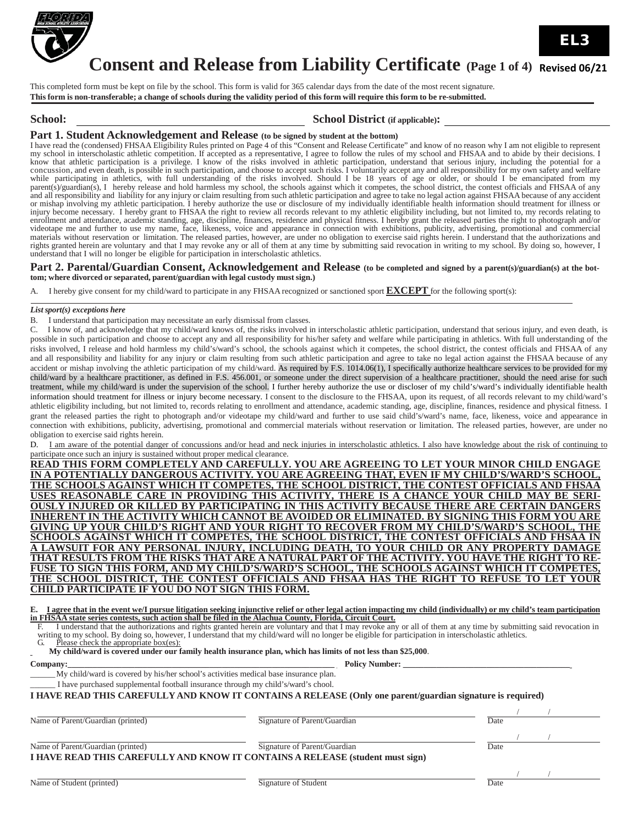

### **Consent and Release from Liability Certificate** (Page 1 of 4) Revised 06/21

This completed form must be kept on file by the school. This form is valid for 365 calendar days from the date of the most recent signature. This form is non-transferable; a change of schools during the validity period of this form will require this form to be re-submitted.

### **School: School District** (if applicable):

### **Part 1. Student Acknowledgement and Release (to be signed by student at the bottom)**

I have read the (condensed) FHSAA Eligibility Rules printed on Page 4 of this "Consent and Release Certificate" and know of no reason why I am not eligible to represent my school in interscholastic athletic competition. If accepted as a representative, I agree to follow the rules of my school and FHSAA and to abide by their decisions. I know that athletic participation is a privilege. I k know that athletic participation is a privilege. I know of the risks involved in athletic participation, understand that serious injury, including the potential for a<br>concussion, and even death, is possible in such partici parent(s)/guardian(s), I hereby release and hold harmless my school, the schools against which it competes, the school district, the contest officials and FHSAA of any and all responsibility and liability for any injury or claim resulting from such athletic participation and agree to take no legal action against FHSAA because of any accident<br>or mishap involving my athletic participation. injury become necessary. I hereby grant to FHSAA the right to review all records relevant to my athletic eligibility including, but not limited to, my records relating to enrollment and attendance, academic standing, age, discipline, finances, residence and physical fitness. I hereby grant the released parties the right to photograph and/or<br>videotape me and further to use my name, face, lik materials without reservation or limitation. The released parties, however, are under no obligation to exercise said rights herein. I understand that the authorizations and rights granted herein are voluntary and that I may revoke any or all of them at any time by submitting said revocation in writing to my school. By doing so, however, I understand that I will no longer be eligible for participation in interscholastic athletics.

#### Part 2. Parental/Guardian Consent, Acknowledgement and Release (to be completed and signed by a parent(s)/guardian(s) at the bot**tom; where divorced or separated, parent/guardian with legal custody must sign.)**

A. I hereby give consent for my child/ward to participate in any FHSAA recognized or sanctioned sport **EXCEPT** for the following sport(s):

#### *List sport(s) exceptions here*

B. I understand that participation may necessitate an early dismissal from classes.

C. I know of, and acknowledge that my child/ward knows of, the risks involved in interscholastic athletic participation, understand that serious injury, and even death, is possible in such participation and choose to accept any and all responsibility for his/her safety and welfare while participating in athletics. With full understanding of the risks involved, I release and hold harmless my child's/ward's school, the schools against which it competes, the school district, the contest officials and FHSAA of any and all responsibility and liability for any injury or claim resulting from such athletic participation and agree to take no legal action against the FHSAA because of any accident or mishap involving the athletic participation of my child/ward. As required by F.S. 1014.06(1), I specifically authorize healthcare services to be provided for my child/ward by a healthcare practitioner, as defined in F.S. 456.001, or someone under the direct supervision of a healthcare practitioner, should the need arise for such treatment, while my child/ward is under the supervision of the school. I further hereby authorize the use or discloser of my child's/ward's individually identifiable health information should treatment for illness or injury become necessary. I consent to the disclosure to the FHSAA, upon its request, of all records relevant to my child/ward's athletic eligibility including, but not limited to, records relating to enrollment and attendance, academic standing, age, discipline, finances, residence and physical fitness. I grant the released parties the right to photograph and/or videotape my child/ward and further to use said child's/ward's name, face, likeness, voice and appearance in connection with exhibitions, publicity, advertising, promotional and commercial materials without reservation or limitation. The released parties, however, are under no obligation to exercise said rights herein.

D. I am aware of the potential danger of concussions and/or head and neck injuries in interscholastic athletics. I also have knowledge about the risk of continuing to participate once such an injury is sustained without proper medical clearance.

**READ THIS FORM COMPLETELY AND CAREFULLY. YOU ARE AGREEING TO LET YOUR MINOR CHILD ENGAGE IN A POTENTIALLY DANGEROUS ACTIVITY. YOU ARE AGREEING THAT, EVEN IF MY CHILD'S/WARD'S SCHOOL, THE SCHOOLS AGAINST WHICH IT COMPETES, THE SCHOOL DISTRICT, THE CONTEST OFFICIALS AND FHSAA USES REASONABLE CARE IN PROVIDING THIS ACTIVITY, THERE IS A CHANCE YOUR CHILD MAY BE SERI-OUSLY INJURED OR KILLED BY PARTICIPATING IN THIS ACTIVITY BECAUSE THERE ARE CERTAIN DANGERS INHERENT IN THE ACTIVITY WHICH CANNOT BE AVOIDED OR ELIMINATED. BY SIGNING THIS FORM YOU ARE GIVING UP YOUR CHILD'S RIGHT AND YOUR RIGHT TO RECOVER FROM MY CHILD'S/WARD'S SCHOOL, THE SCHOOLS AGAINST WHICH IT COMPETES, THE SCHOOL DISTRICT, THE CONTEST OFFICIALS AND FHSAA IN A LAWSUIT FOR ANY PERSONAL INJURY, INCLUDING DEATH, TO YOUR CHILD OR ANY PROPERTY DAMAGE** FUSE TO SIGN THIS FORM, AND MY CHILD'S/WARD'S SCHOOL, THE SCHOOLS AGAINST WHICH IT COMPETES, **THE SCHOOL DISTRICT, THE CONTEST OFFICIALS AND FHSAA HAS THE RIGHT TO REFUSE TO LET YOUR CHILD PARTICIPATE IF YOU DO NOT SIGN THIS FORM.**

| E. I agree that in the event we/I pursue litigation seeking injunctive relief or other legal action impacting my child (individually) or my child's team participation |  |  |
|------------------------------------------------------------------------------------------------------------------------------------------------------------------------|--|--|
| in FHSAA state series contests, such action shall be filed in the Alachua County, Florida, Circuit Court.                                                              |  |  |

In FHSAA state series contests, such action shall be filed in the Alachua County, Florida, Circuit Court.<br>F. I understand that the authorizations and rights granted herein are voluntary and that I may revoke any or all of writing to my school. By doing so, however, I understand that my child/ward will no longer be eligible for participation in interscholastic athletics.<br>G. Please check the appropriate box(es):

Please check the appropriate box(es):

 **My child/ward is covered under our family health insurance plan, which has limits of not less than \$25,000**. Policy Number:

#### **Company:\_\_\_\_\_\_\_\_\_\_\_\_\_\_\_\_\_\_\_\_\_\_\_\_\_\_\_\_\_\_\_\_\_\_\_\_\_\_\_\_\_\_\_\_\_\_\_\_\_\_\_\_\_\_\_\_\_\_\_\_\_\_\_\_**

My child/ward is covered by his/her school's activities medical base insurance plan.

I have purchased supplemental football insurance through my child's/ward's chool.

#### **I HAVE READ THIS CAREFULLYAND KNOW IT CONTAINS A RELEASE (Only one parent/guardian signature is required)**

Name of Parent/Guardian (printed) Signature of Parent/Guardian Date

/ / / /

/ /

Name of Parent/Guardian (printed) Signature of Parent/Guardian Date **I HAVE READ THIS CAREFULLYAND KNOW IT CONTAINS A RELEASE (student must sign)**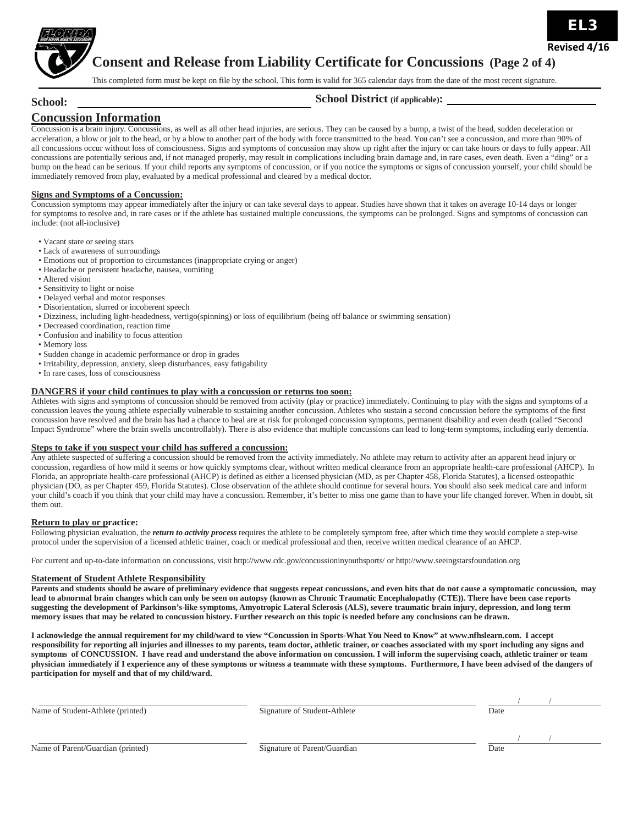

**School:** 

**Consent and Release from Liability Certificate for Concussions (Page 2 of 4)**

This completed form must be kept on file by the school. This form is valid for 365 calendar days from the date of the most recent signature.

### **School District (if applicable):**

### **Concussion Information**

Concussion is a brain injury. Concussions, as well as all other head injuries, are serious. They can be caused by a bump, a twist of the head, sudden deceleration or acceleration, a blow or jolt to the head, or by a blow to another part of the body with force transmitted to the head. You can't see a concussion, and more than 90% of all concussions occur without loss of consciousness. Signs and symptoms of concussion may show up right after the injury or can take hours or days to fully appear. All concussions are potentially serious and, if not managed properly, may result in complications including brain damage and, in rare cases, even death. Even a "ding" or a bump on the head can be serious. If your child reports any symptoms of concussion, or if you notice the symptoms or signs of concussion yourself, your child should be immediately removed from play, evaluated by a medical professional and cleared by a medical doctor.

#### **Signs and Symptoms of a Concussion:**

Concussion symptoms may appear immediately after the injury or can take several days to appear. Studies have shown that it takes on average 10-14 days or longer for symptoms to resolve and, in rare cases or if the athlete has sustained multiple concussions, the symptoms can be prolonged. Signs and symptoms of concussion can include: (not all-inclusive)

- Vacant stare or seeing stars
- Lack of awareness of surroundings
- Emotions out of proportion to circumstances (inappropriate crying or anger)
- Headache or persistent headache, nausea, vomiting
- Altered vision
- Sensitivity to light or noise
- Delayed verbal and motor responses
- Disorientation, slurred or incoherent speech
- Dizziness, including light-headedness, vertigo(spinning) or loss of equilibrium (being off balance or swimming sensation)
- Decreased coordination, reaction time
- Confusion and inability to focus attention
- Memory loss
- Sudden change in academic performance or drop in grades
- Irritability, depression, anxiety, sleep disturbances, easy fatigability
- In rare cases, loss of consciousness

#### **DANGERS if your child continues to play with a concussion or returns too soon:**

Athletes with signs and symptoms of concussion should be removed from activity (play or practice) immediately. Continuing to play with the signs and symptoms of a concussion leaves the young athlete especially vulnerable to sustaining another concussion. Athletes who sustain a second concussion before the symptoms of the first concussion have resolved and the brain has had a chance to heal are at risk for prolonged concussion symptoms, permanent disability and even death (called "Second Impact Syndrome" where the brain swells uncontrollably). There is also evidence that multiple concussions can lead to long-term symptoms, including early dementia.

### **Steps to take if you suspect your child has suffered a concussion:**

Any athlete suspected of suffering a concussion should be removed from the activity immediately. No athlete may return to activity after an apparent head injury or concussion, regardless of how mild it seems or how quickly symptoms clear, without written medical clearance from an appropriate health-care professional (AHCP). In Florida, an appropriate health-care professional (AHCP) is defined as either a licensed physician (MD, as per Chapter 458, Florida Statutes), a licensed osteopathic physician (DO, as per Chapter 459, Florida Statutes). Close observation of the athlete should continue for several hours. You should also seek medical care and inform your child's coach if you think that your child may have a concussion. Remember, it's better to miss one game than to have your life changed forever. When in doubt, sit them out.

#### **Return to play or practice:**

Following physician evaluation, the *return to activity process* requires the athlete to be completely symptom free, after which time they would complete a step-wise protocol under the supervision of a licensed athletic trainer, coach or medical professional and then, receive written medical clearance of an AHCP.

For current [and up-to-date information on concussions, visit http://www.cdc.gov/concussioninyouthsports/](http://www.cdc.gov/concussioninyouthsports/) o[r http://www.seeingstarsfoundation.org](http://www.seeingstarsfoundation.org/)

#### **Statement of Student Athlete Responsibility**

**Parents and students should be aware of preliminary evidence that suggests repeat concussions, and even hits that do not cause a symptomatic concussion, may lead to abnormal brain changes which can only be seen on autopsy (known as Chronic Traumatic Encephalopathy (CTE)). There have been case reports suggesting the development of Parkinson's-like symptoms, Amyotropic Lateral Sclerosis (ALS), severe traumatic brain injury, depression, and long term memory issues that may be related to concussion history. Further research on this topic is needed before any conclusions can be drawn.**

**I acknowledge the annual requirement for my child/ward to view "Concussion in Sports-What You [Need to Know" at www.nfhslearn.com.](http://www.nfhslearn.com/) I accept responsibility for reporting all injuries and illnesses to my parents, team doctor, athletic trainer, or coaches associated with my sport including any signs and symptoms of CONCUSSION. I have read and understand the above information on concussion. I will inform the supervising coach, athletic trainer or team physician immediately if I experience any of these symptoms or witness a teammate with these symptoms. Furthermore, I have been advised of the dangers of participation for myself and that of my child/ward.**

| Name of Student-Athlete (printed) | Signature of Student-Athlete | Date |
|-----------------------------------|------------------------------|------|
|                                   |                              |      |
|                                   |                              |      |
|                                   |                              |      |
| Name of Parent/Guardian (printed) | Signature of Parent/Guardian | Date |

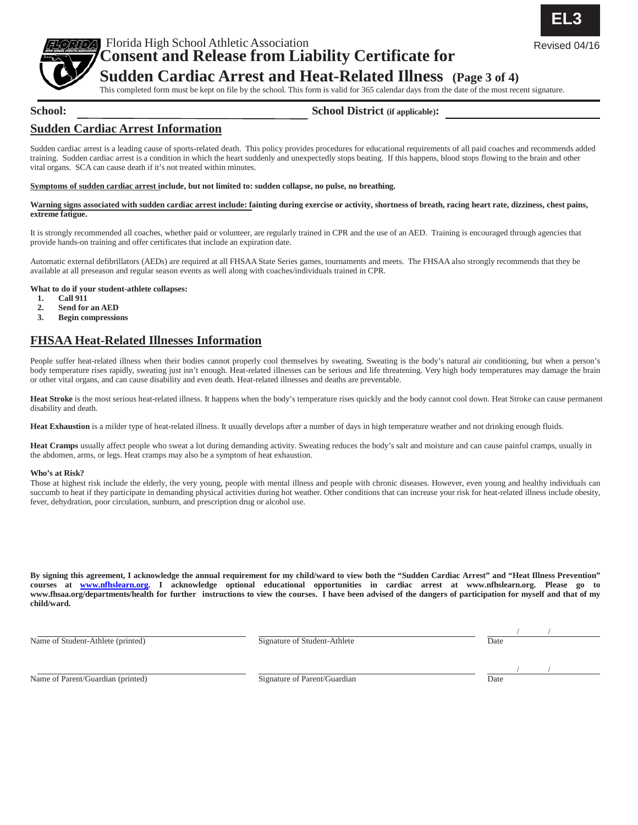

Florida High School Athletic Association Revised 04/16 **Consent and Release from Liability Certificate for**

### **Sudden Cardiac Arrest and Heat-Related Illness (Page 3 of 4)**

This completed form must be kept on file by the school. This form is valid for 365 calendar days from the date of the most recent signature.

### **School:**

### **School District (if applicable):**

### **Sudden Cardiac Arrest Information**

Sudden cardiac arrest is a leading cause of sports-related death. This policy provides procedures for educational requirements of all paid coaches and recommends added training. Sudden cardiac arrest is a condition in which the heart suddenly and unexpectedly stops beating. If this happens, blood stops flowing to the brain and other vital organs. SCA can cause death if it's not treated within minutes.

#### **Symptoms of sudden cardiac arrest include, but not limited to: sudden collapse, no pulse, no breathing.**

#### **Warning signs associated with sudden cardiac arrest include: fainting during exercise or activity, shortness of breath, racing heart rate, dizziness, chest pains, extreme fatigue.**

It is strongly recommended all coaches, whether paid or volunteer, are regularly trained in CPR and the use of an AED. Training is encouraged through agencies that provide hands-on training and offer certificates that include an expiration date.

Automatic external defibrillators (AEDs) are required at all FHSAA State Series games, tournaments and meets. The FHSAA also strongly recommends that they be available at all preseason and regular season events as well along with coaches/individuals trained in CPR.

#### **What to do if your student-athlete collapses:**

- **1. Call 911**
- **2. Send for an AED**
- **3. Begin compressions**

### **FHSAA Heat-Related Illnesses Information**

People suffer heat-related illness when their bodies cannot properly cool themselves by sweating. Sweating is the body's natural air conditioning, but when a person's body temperature rises rapidly, sweating just isn't enough. Heat-related illnesses can be serious and life threatening. Very high body temperatures may damage the brain or other vital organs, and can cause disability and even death. Heat-related illnesses and deaths are preventable.

**Heat Stroke** is the most serious heat-related illness. It happens when the body's temperature rises quickly and the body cannot cool down. Heat Stroke can cause permanent disability and death.

**Heat Exhaustion** is a milder type of heat-related illness. It usually develops after a number of days in high temperature weather and not drinking enough fluids.

**Heat Cramps** usually affect people who sweat a lot during demanding activity. Sweating reduces the body's salt and moisture and can cause painful cramps, usually in the abdomen, arms, or legs. Heat cramps may also be a symptom of heat exhaustion.

#### **Who's at Risk?**

Those at highest risk include the elderly, the very young, people with mental illness and people with chronic diseases. However, even young and healthy individuals can succumb to heat if they participate in demanding physical activities during hot weather. Other conditions that can increase your risk for heat-related illness include obesity, fever, dehydration, poor circulation, sunburn, and prescription drug or alcohol use.

**By signing this agreement, I acknowledge the annual requirement for my child/ward to view both the "Sudden Cardiac Arrest" and "Heat Illness Prevention"**  courses at [www.nfhslearn.org.](http://www.nfhslearn.org/) I acknowledge optional educational opportunities in cardiac arrest at www.nfhslearn.org. Please go to **[www.fhsaa.org/departments/health](http://www.fhsaa.org/departments/health) for further instructions to view the courses. I have been advised of the dangers of participation for myself and that of my child/ward.**

Name of Student-Athlete (printed) Bignature of Student-Athlete Date

/ /

/ /

Name of Parent/Guardian (printed) Date Signature of Parent/Guardian Date

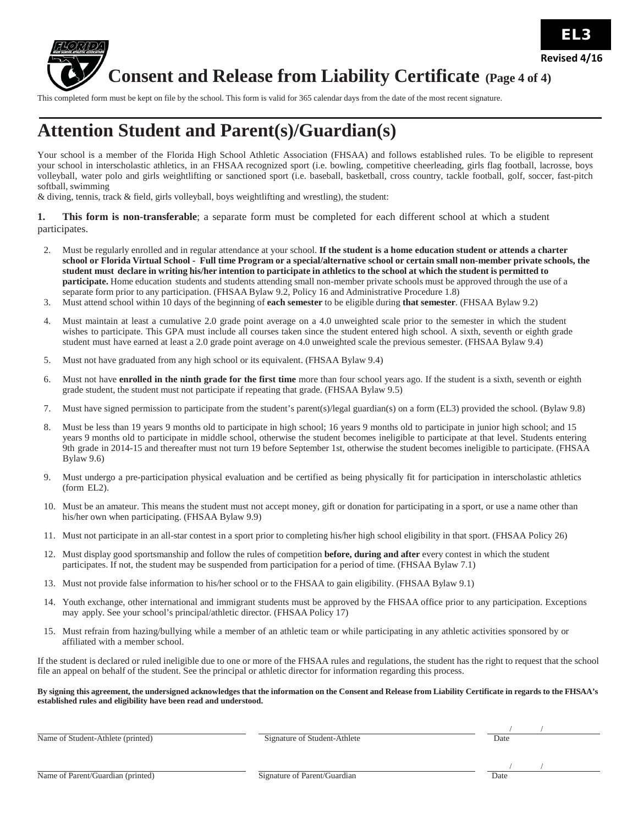

# **Consent and Release from Liability Certificate (Page <sup>4</sup> of 4)**

This completed form must be kept on file by the school. This form is valid for 365 calendar days from the date of the most recent signature.

### **Attention Student and Parent(s)/Guardian(s)**

Your school is a member of the Florida High School Athletic Association (FHSAA) and follows established rules. To be eligible to represent your school in interscholastic athletics, in an FHSAA recognized sport (i.e. bowling, competitive cheerleading, girls flag football, lacrosse, boys volleyball, water polo and girls weightlifting or sanctioned sport (i.e. baseball, basketball, cross country, tackle football, golf, soccer, fast-pitch softball, swimming

& diving, tennis, track & field, girls volleyball, boys weightlifting and wrestling), the student:

**1. This form is non-transferable**; a separate form must be completed for each different school at which a student participates.

- 2. Must be regularly enrolled and in regular attendance at your school. **If the student is a home education student or attends a charter** school or Florida Virtual School - Full time Program or a special/alternative school or certain small non-member private schools, the student must declare in writing his/her intention to participate in athletics to the school at which the student is permitted to **participate.** Home education students and students attending small non-member private schools must be approved through the use of a separate form prior to any participation. (FHSAA Bylaw 9.2, Policy 16 and Administrative Procedure 1.8)
- 3. Must attend school within 10 days of the beginning of **each semester** to be eligible during **that semester**. (FHSAA Bylaw 9.2)
- 4. Must maintain at least a cumulative 2.0 grade point average on a 4.0 unweighted scale prior to the semester in which the student wishes to participate. This GPA must include all courses taken since the student entered high school. A sixth, seventh or eighth grade student must have earned at least a 2.0 grade point average on 4.0 unweighted scale the previous semester. (FHSAA Bylaw 9.4)
- 5. Must not have graduated from any high school or its equivalent. (FHSAA Bylaw 9.4)
- 6. Must not have **enrolled in the ninth grade for the first time** more than four school years ago. If the student is a sixth, seventh or eighth grade student, the student must not participate if repeating that grade. (FHSAA Bylaw 9.5)
- 7. Must have signed permission to participate from the student's parent(s)/legal guardian(s) on a form (EL3) provided the school. (Bylaw 9.8)
- 8. Must be less than 19 years 9 months old to participate in high school; 16 years 9 months old to participate in junior high school; and 15 years 9 months old to participate in middle school, otherwise the student becomes ineligible to participate at that level. Students entering 9th grade in 2014-15 and thereafter must not turn 19 before September 1st, otherwise the student becomes ineligible to participate. (FHSAA Bylaw 9.6)
- 9. Must undergo a pre-participation physical evaluation and be certified as being physically fit for participation in interscholastic athletics (form EL2).
- 10. Must be an amateur. This means the student must not accept money, gift or donation for participating in a sport, or use a name other than his/her own when participating. (FHSAA Bylaw 9.9)
- 11. Must not participate in an all-star contest in a sport prior to completing his/her high school eligibility in that sport. (FHSAA Policy 26)
- 12. Must display good sportsmanship and follow the rules of competition **before, during and after** every contest in which the student participates. If not, the student may be suspended from participation for a period of time. (FHSAA Bylaw 7.1)
- 13. Must not provide false information to his/her school or to the FHSAA to gain eligibility. (FHSAA Bylaw 9.1)
- 14. Youth exchange, other international and immigrant students must be approved by the FHSAA office prior to any participation. Exceptions may apply. See your school's principal/athletic director. (FHSAA Policy 17)
- 15. Must refrain from hazing/bullying while a member of an athletic team or while participating in any athletic activities sponsored by or affiliated with a member school.

If the student is declared or ruled ineligible due to one or more of the FHSAA rules and regulations, the student has the right to request that the school file an appeal on behalf of the student. See the principal or athletic director for information regarding this process.

By signing this agreement, the undersigned acknowledges that the information on the Consent and Release from Liability Certificate in regards to the FHSAA's **established rules and eligibility have been read and understood.**

Name of Student-Athlete (printed) Signature of Student-Athlete Date

/ /

Name of Parent/Guardian (printed) Signature of Parent/Guardian Date

/ /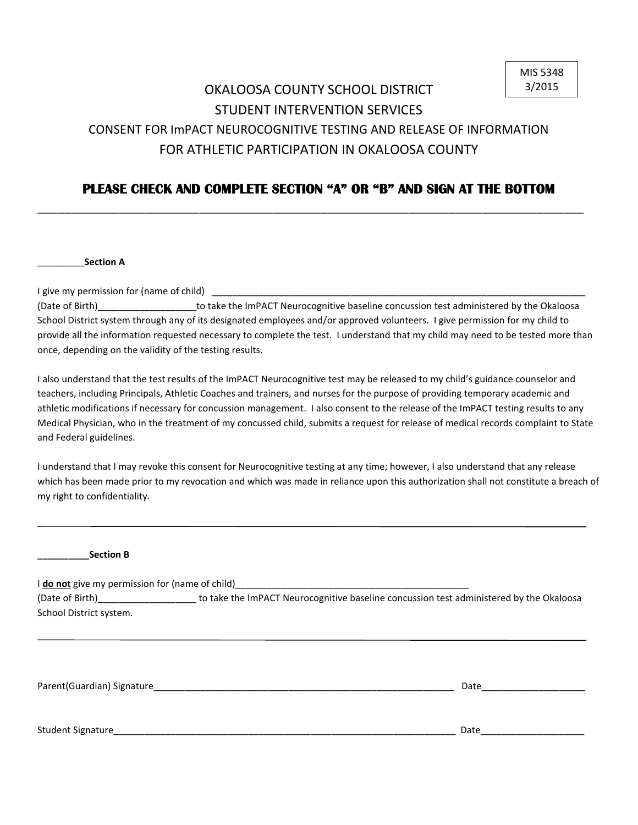### OKALOOSA COUNTY SCHOOL DISTRICT STUDENT INTERVENTION SERVICES CONSENT FOR ImPACT NEUROCOGNITIVE TESTING AND RELEASE OF INFORMATION FOR ATHLETIC PARTICIPATION IN OKALOOSA COUNTY

### **PLEASE CHECK AND COMPLETE SECTION "A" OR "B" AND SIGN AT THE BOTTOM**

\_\_\_\_\_\_\_\_\_\_\_\_\_\_\_\_\_\_\_\_\_\_\_\_\_\_\_\_\_\_\_\_\_\_\_\_\_\_\_\_\_\_\_\_\_\_\_\_\_\_\_\_\_\_\_\_\_\_\_\_\_\_\_\_\_\_\_\_\_\_\_\_\_\_\_\_\_\_\_\_\_

\_\_\_\_\_\_\_\_\_**Section A**

I give my permission for (name of child)

(Date of Birth) **the ImPACT Neurocognitive baseline concussion test administered by the Okaloosa** School District system through any of its designated employees and/or approved volunteers. I give permission for my child to provide all the information requested necessary to complete the test. I understand that my child may need to be tested more than once, depending on the validity of the testing results.

I also understand that the test results of the ImPACT Neurocognitive test may be released to my child's guidance counselor and teachers, including Principals, Athletic Coaches and trainers, and nurses for the purpose of providing temporary academic and athletic modifications if necessary for concussion management. I also consent to the release of the ImPACT testing results to any Medical Physician, who in the treatment of my concussed child, submits a request for release of medical records complaint to State and Federal guidelines.

I understand that I may revoke this consent for Neurocognitive testing at any time; however, I also understand that any release which has been made prior to my revocation and which was made in reliance upon this authorization shall not constitute a breach of my right to confidentiality.

**\_\_\_\_\_\_\_\_\_\_Section B** I **do not** give my permission for (name of child) (Date of Birth)\_\_\_\_\_\_\_\_\_\_\_\_\_\_\_\_\_\_\_ to take the ImPACT Neurocognitive baseline concussion test administered by the Okaloosa School District system.

Parent(Guardian) Signature\_\_\_\_\_\_\_\_\_\_\_\_\_\_\_\_\_\_\_\_\_\_\_\_\_\_\_\_\_\_\_\_\_\_\_\_\_\_\_\_\_\_\_\_\_\_\_\_\_\_\_\_\_\_\_\_\_\_ Date\_\_\_\_\_\_\_\_\_\_\_\_\_\_\_\_\_\_\_\_

Student Signature\_\_\_\_\_\_\_\_\_\_\_\_\_\_\_\_\_\_\_\_\_\_\_\_\_\_\_\_\_\_\_\_\_\_\_\_\_\_\_\_\_\_\_\_\_\_\_\_\_\_\_\_\_\_\_\_\_\_\_\_\_\_\_\_\_\_ Date\_\_\_\_\_\_\_\_\_\_\_\_\_\_\_\_\_\_\_\_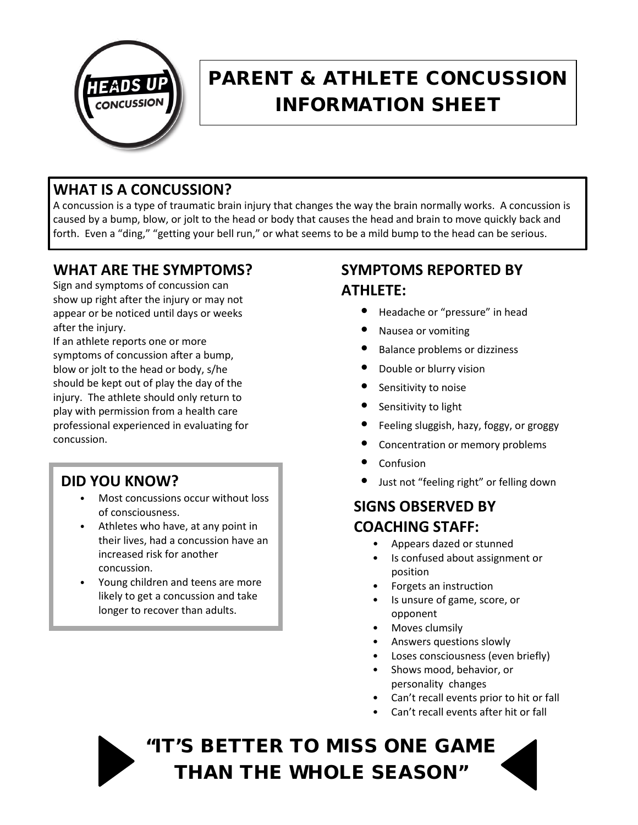

## PARENT & ATHLETE CONCUSSION INFORMATION SHEET

### **WHAT IS A CONCUSSION?**

A concussion is a type of traumatic brain injury that changes the way the brain normally works. A concussion is caused by a bump, blow, or jolt to the head or body that causes the head and brain to move quickly back and forth. Even a "ding," "getting your bell run," or what seems to be a mild bump to the head can be serious.

### **WHAT ARE THE SYMPTOMS?**

Sign and symptoms of concussion can show up right after the injury or may not appear or be noticed until days or weeks after the injury.

If an athlete reports one or more symptoms of concussion after a bump, blow or jolt to the head or body, s/he should be kept out of play the day of the injury. The athlete should only return to play with permission from a health care professional experienced in evaluating for concussion.

### **DID YOU KNOW?**

- Most concussions occur without loss of consciousness.
- Athletes who have, at any point in their lives, had a concussion have an increased risk for another concussion.
- Young children and teens are more likely to get a concussion and take longer to recover than adults.

### **SYMPTOMS REPORTED BY ATHLETE:**

- Headache or "pressure" in head
- Nausea or vomiting
- Balance problems or dizziness
- Double or blurry vision
- Sensitivity to noise
- Sensitivity to light
- Feeling sluggish, hazy, foggy, or groggy
- Concentration or memory problems
- **Confusion**
- Just not "feeling right" or felling down

### **SIGNS OBSERVED BY COACHING STAFF:**

- Appears dazed or stunned
- Is confused about assignment or position
- Forgets an instruction
- Is unsure of game, score, or opponent
- Moves clumsily
- Answers questions slowly
- Loses consciousness (even briefly)
- Shows mood, behavior, or personality changes
- Can't recall events prior to hit or fall
- Can't recall events after hit or fall